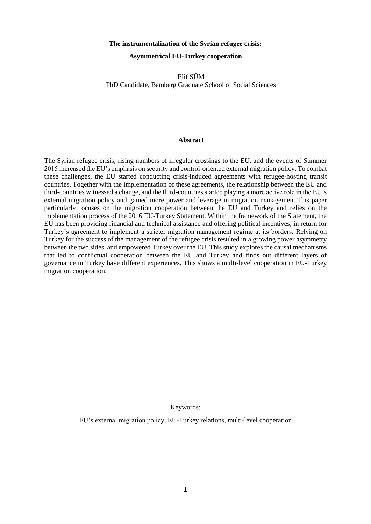#### **The instrumentalization of the Syrian refugee crisis:**

#### **Asymmetrical EU-Turkey cooperation**

Elif SÜM PhD Candidate, Bamberg Graduate School of Social Sciences

#### **Abstract**

The Syrian refugee crisis, rising numbers of irregular crossings to the EU, and the events of Summer 2015 increased the EU's emphasis on security and control-oriented external migration policy. To combat these challenges, the EU started conducting crisis-induced agreements with refugee-hosting transit countries. Together with the implementation of these agreements, the relationship between the EU and third-countries witnessed a change, and the third-countries started playing a more active role in the EU's external migration policy and gained more power and leverage in migration management.This paper particularly focuses on the migration cooperation between the EU and Turkey and relies on the implementation process of the 2016 EU-Turkey Statement. Within the framework of the Statement, the EU has been providing financial and technical assistance and offering political incentives, in return for Turkey's agreement to implement a stricter migration management regime at its borders. Relying on Turkey for the success of the management of the refugee crisis resulted in a growing power asymmetry between the two sides, and empowered Turkey over the EU. This study explores the causal mechanisms that led to conflictual cooperation between the EU and Turkey and finds out different layers of governance in Turkey have different experiences. This shows a multi-level cooperation in EU-Turkey migration cooperation.

Keywords:

EU's external migration policy, EU-Turkey relations, multi-level cooperation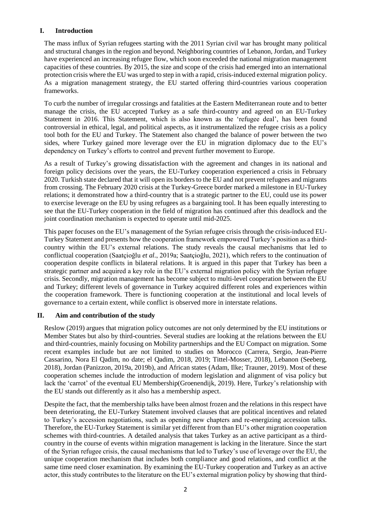# **I. Introduction**

The mass influx of Syrian refugees starting with the 2011 Syrian civil war has brought many political and structural changes in the region and beyond. Neighboring countries of Lebanon, Jordan, and Turkey have experienced an increasing refugee flow, which soon exceeded the national migration management capacities of these countries. By 2015, the size and scope of the crisis had emerged into an international protection crisis where the EU was urged to step in with a rapid, crisis-induced external migration policy. As a migration management strategy, the EU started offering third-countries various cooperation frameworks.

To curb the number of irregular crossings and fatalities at the Eastern Mediterranean route and to better manage the crisis, the EU accepted Turkey as a safe third-country and agreed on an EU-Turkey Statement in 2016. This Statement, which is also known as the 'refugee deal', has been found controversial in ethical, legal, and political aspects, as it instrumentalized the refugee crisis as a policy tool both for the EU and Turkey. The Statement also changed the balance of power between the two sides, where Turkey gained more leverage over the EU in migration diplomacy due to the EU's dependency on Turkey's efforts to control and prevent further movement to Europe.

As a result of Turkey's growing dissatisfaction with the agreement and changes in its national and foreign policy decisions over the years, the EU-Turkey cooperation experienced a crisis in February 2020. Turkish state declared that it will open its borders to the EU and not prevent refugees and migrants from crossing. The February 2020 crisis at the Turkey-Greece border marked a milestone in EU-Turkey relations; it demonstrated how a third-country that is a strategic partner to the EU, could use its power to exercise leverage on the EU by using refugees as a bargaining tool. It has been equally interesting to see that the EU-Turkey cooperation in the field of migration has continued after this deadlock and the joint coordination mechanism is expected to operate until mid-2025.

This paper focuses on the EU's management of the Syrian refugee crisis through the crisis-induced EU-Turkey Statement and presents how the cooperation framework empowered Turkey's position as a thirdcountry within the EU's external relations. The study reveals the causal mechanisms that led to conflictual cooperation (Saatçioğlu *et al.*, 2019a; Saatçioğlu, 2021), which refers to the continuation of cooperation despite conflicts in bilateral relations. It is argued in this paper that Turkey has been a strategic partner and acquired a key role in the EU's external migration policy with the Syrian refugee crisis. Secondly, migration management has become subject to multi-level cooperation between the EU and Turkey; different levels of governance in Turkey acquired different roles and experiences within the cooperation framework. There is functioning cooperation at the institutional and local levels of governance to a certain extent, while conflict is observed more in interstate relations.

# **II. Aim and contribution of the study**

Reslow (2019) argues that migration policy outcomes are not only determined by the EU institutions or Member States but also by third-countries. Several studies are looking at the relations between the EU and third-countries, mainly focusing on Mobility partnerships and the EU Compact on migration. Some recent examples include but are not limited to studies on Morocco (Carrera, Sergio, Jean-Pierre Cassarino, Nora El Qadim, no date; el Qadim, 2018, 2019; Tittel-Mosser, 2018), Lebanon (Seeberg, 2018), Jordan (Panizzon, 2019a, 2019b), and African states (Adam, Ilke; Trauner, 2019). Most of these cooperation schemes include the introduction of modern legislation and alignment of visa policy but lack the 'carrot' of the eventual EU Membership(Groenendijk, 2019). Here, Turkey's relationship with the EU stands out differently as it also has a membership aspect.

Despite the fact, that the membership talks have been almost frozen and the relations in this respect have been deteriorating, the EU-Turkey Statement involved clauses that are political incentives and related to Turkey's accession negotiations, such as opening new chapters and re-energizing accession talks. Therefore, the EU-Turkey Statement is similar yet different from than EU's other migration cooperation schemes with third-countries. A detailed analysis that takes Turkey as an active participant as a thirdcountry in the course of events within migration management is lacking in the literature. Since the start of the Syrian refugee crisis, the causal mechanisms that led to Turkey's use of leverage over the EU, the unique cooperation mechanism that includes both compliance and good relations, and conflict at the same time need closer examination. By examining the EU-Turkey cooperation and Turkey as an active actor, this study contributes to the literature on the EU's external migration policy by showing that third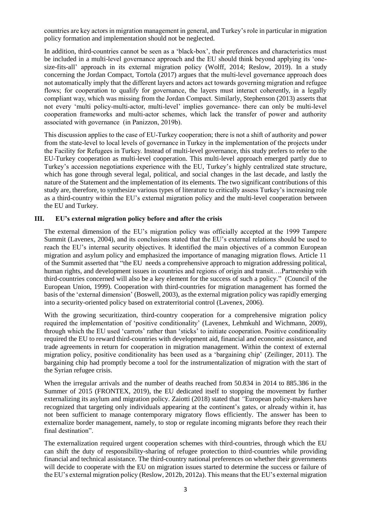countries are key actors in migration management in general, and Turkey's role in particular in migration policy formation and implementation should not be neglected.

In addition, third-countries cannot be seen as a 'black-box', their preferences and characteristics must be included in a multi-level governance approach and the EU should think beyond applying its 'onesize-fits-all' approach in its external migration policy (Wolff, 2014; Reslow, 2019). In a study concerning the Jordan Compact, Tortola (2017) argues that the multi-level governance approach does not automatically imply that the different layers and actors act towards governing migration and refugee flows; for cooperation to qualify for governance, the layers must interact coherently, in a legally compliant way, which was missing from the Jordan Compact. Similarly, Stephenson (2013) asserts that not every 'multi policy-multi-actor, multi-level' implies governance- there can only be multi-level cooperation frameworks and multi-actor schemes, which lack the transfer of power and authority associated with governance (in Panizzon, 2019b).

This discussion applies to the case of EU-Turkey cooperation; there is not a shift of authority and power from the state-level to local levels of governance in Turkey in the implementation of the projects under the Facility for Refugees in Turkey. Instead of multi-level governance, this study prefers to refer to the EU-Turkey cooperation as multi-level cooperation. This multi-level approach emerged partly due to Turkey's accession negotiations experience with the EU, Turkey's highly centralized state structure, which has gone through several legal, political, and social changes in the last decade, and lastly the nature of the Statement and the implementation of its elements. The two significant contributions of this study are, therefore, to synthesize various types of literature to critically assess Turkey's increasing role as a third-country within the EU's external migration policy and the multi-level cooperation between the EU and Turkey.

#### **III. EU's external migration policy before and after the crisis**

The external dimension of the EU's migration policy was officially accepted at the 1999 Tampere Summit (Lavenex, 2004), and its conclusions stated that the EU's external relations should be used to reach the EU's internal security objectives. It identified the main objectives of a common European migration and asylum policy and emphasized the importance of managing migration flows. Article 11 of the Summit asserted that "the EU needs a comprehensive approach to migration addressing political, human rights, and development issues in countries and regions of origin and transit….Partnership with third-countries concerned will also be a key element for the success of such a policy." (Council of the European Union, 1999). Cooperation with third-countries for migration management has formed the basis of the 'external dimension' (Boswell, 2003), as the external migration policy was rapidly emerging into a security-oriented policy based on extraterritorial control (Lavenex, 2006).

With the growing securitization, third-country cooperation for a comprehensive migration policy required the implementation of 'positive conditionality' (Lavenex, Lehmkuhl and Wichmann, 2009), through which the EU used 'carrots' rather than 'sticks' to initiate cooperation. Positive conditionality required the EU to reward third-countries with development aid, financial and economic assistance, and trade agreements in return for cooperation in migration management. Within the context of external migration policy, positive conditionality has been used as a 'bargaining chip' (Zeilinger, 2011). The bargaining chip had promptly become a tool for the instrumentalization of migration with the start of the Syrian refugee crisis.

When the irregular arrivals and the number of deaths reached from 50.834 in 2014 to 885.386 in the Summer of 2015 (FRONTEX, 2019), the EU dedicated itself to stopping the movement by further externalizing its asylum and migration policy. Zaiotti (2018) stated that *"*European policy-makers have recognized that targeting only individuals appearing at the continent's gates, or already within it, has not been sufficient to manage contemporary migratory flows efficiently. The answer has been to externalize border management, namely, to stop or regulate incoming migrants before they reach their final destination".

The externalization required urgent cooperation schemes with third-countries, through which the EU can shift the duty of responsibility-sharing of refugee protection to third-countries while providing financial and technical assistance. The third-country national preferences on whether their governments will decide to cooperate with the EU on migration issues started to determine the success or failure of the EU's external migration policy (Reslow, 2012b, 2012a). This means that the EU's external migration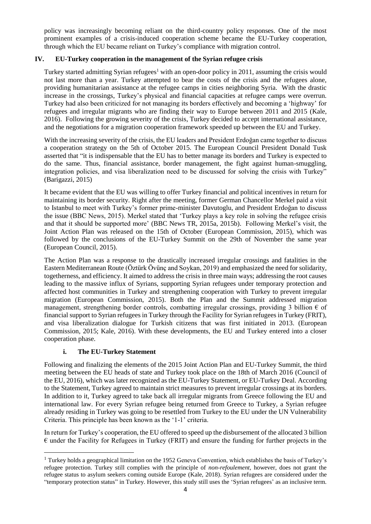policy was increasingly becoming reliant on the third-country policy responses. One of the most prominent examples of a crisis-induced cooperation scheme became the EU-Turkey cooperation, through which the EU became reliant on Turkey's compliance with migration control.

# **IV. EU-Turkey cooperation in the management of the Syrian refugee crisis**

Turkey started admitting Syrian refugees<sup>1</sup> with an open-door policy in 2011, assuming the crisis would not last more than a year. Turkey attempted to bear the costs of the crisis and the refugees alone, providing humanitarian assistance at the refugee camps in cities neighboring Syria. With the drastic increase in the crossings, Turkey's physical and financial capacities at refugee camps were overrun. Turkey had also been criticized for not managing its borders effectively and becoming a 'highway' for refugees and irregular migrants who are finding their way to Europe between 2011 and 2015 (Kale, 2016). Following the growing severity of the crisis, Turkey decided to accept international assistance, and the negotiations for a migration cooperation framework speeded up between the EU and Turkey.

With the increasing severity of the crisis, the EU leaders and President Erdoğan came together to discuss a cooperation strategy on the 5th of October 2015. The European Council President Donald Tusk asserted that "it is indispensable that the EU has to better manage its borders and Turkey is expected to do the same. Thus, financial assistance, border management, the fight against human-smuggling, integration policies, and visa liberalization need to be discussed for solving the crisis with Turkey" (Barigazzi, 2015)

It became evident that the EU was willing to offer Turkey financial and political incentives in return for maintaining its border security. Right after the meeting, former German Chancellor Merkel paid a visit to Istanbul to meet with Turkey's former prime-minister Davutoglu, and President Erdoğan to discuss the issue (BBC News, 2015). Merkel stated that 'Turkey plays a key role in solving the refugee crisis and that it should be supported more' (BBC News TR, 2015a, 2015b). Following Merkel's visit, the Joint Action Plan was released on the 15th of October (European Commission, 2015), which was followed by the conclusions of the EU-Turkey Summit on the 29th of November the same year (European Council, 2015).

The Action Plan was a response to the drastically increased irregular crossings and fatalities in the Eastern Mediterranean Route (Öztürk Övünç and Soykan, 2019) and emphasized the need for solidarity, togetherness, and efficiency. It aimed to address the crisis in three main ways; addressing the root causes leading to the massive influx of Syrians, supporting Syrian refugees under temporary protection and affected host communities in Turkey and strengthening cooperation with Turkey to prevent irregular migration (European Commission, 2015). Both the Plan and the Summit addressed migration management, strengthening border controls, combatting irregular crossings, providing 3 billion  $\epsilon$  of financial support to Syrian refugees in Turkey through the Facility for Syrian refugees in Turkey (FRIT), and visa liberalization dialogue for Turkish citizens that was first initiated in 2013. (European Commission, 2015; Kale, 2016). With these developments, the EU and Turkey entered into a closer cooperation phase.

# **i. The EU-Turkey Statement**

 $\overline{\phantom{a}}$ 

Following and finalizing the elements of the 2015 Joint Action Plan and EU-Turkey Summit, the third meeting between the EU heads of state and Turkey took place on the 18th of March 2016 (Council of the EU, 2016), which was later recognized as the EU-Turkey Statement, or EU-Turkey Deal. According to the Statement, Turkey agreed to maintain strict measures to prevent irregular crossings at its borders. In addition to it, Turkey agreed to take back all irregular migrants from Greece following the EU and international law. For every Syrian refugee being returned from Greece to Turkey, a Syrian refugee already residing in Turkey was going to be resettled from Turkey to the EU under the UN Vulnerability Criteria. This principle has been known as the '1-1' criteria.

In return for Turkey's cooperation, the EU offered to speed up the disbursement of the allocated 3 billion  $\epsilon$  under the Facility for Refugees in Turkey (FRIT) and ensure the funding for further projects in the

<sup>&</sup>lt;sup>1</sup> Turkey holds a geographical limitation on the 1952 Geneva Convention, which establishes the basis of Turkey's refugee protection. Turkey still complies with the principle of *non-refoulement,* however, does not grant the refugee status to asylum seekers coming outside Europe (Kale, 2018). Syrian refugees are considered under the "temporary protection status" in Turkey. However, this study still uses the 'Syrian refugees' as an inclusive term.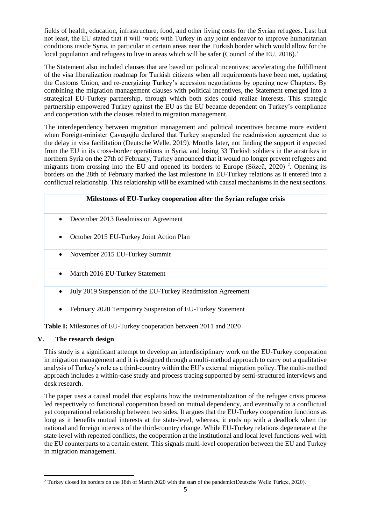fields of health, education, infrastructure, food, and other living costs for the Syrian refugees. Last but not least, the EU stated that it will 'work with Turkey in any joint endeavor to improve humanitarian conditions inside Syria, in particular in certain areas near the Turkish border which would allow for the local population and refugees to live in areas which will be safer (Council of the EU, 2016).'

The Statement also included clauses that are based on political incentives; accelerating the fulfillment of the visa liberalization roadmap for Turkish citizens when all requirements have been met, updating the Customs Union, and re-energizing Turkey's accession negotiations by opening new Chapters. By combining the migration management clauses with political incentives, the Statement emerged into a strategical EU-Turkey partnership, through which both sides could realize interests. This strategic partnership empowered Turkey against the EU as the EU became dependent on Turkey's compliance and cooperation with the clauses related to migration management.

The interdependency between migration management and political incentives became more evident when Foreign-minister Çavuşoğlu declared that Turkey suspended the readmission agreement due to the delay in visa facilitation (Deutsche Welle, 2019). Months later, not finding the support it expected from the EU in its cross-border operations in Syria, and losing 33 Turkish soldiers in the airstrikes in northern Syria on the 27th of February, Turkey announced that it would no longer prevent refugees and migrants from crossing into the EU and opened its borders to Europe (Sözcü, 2020)<sup>2</sup>. Opening its borders on the 28th of February marked the last milestone in EU-Turkey relations as it entered into a conflictual relationship. This relationship will be examined with causal mechanisms in the next sections.

| Milestones of EU-Turkey cooperation after the Syrian refugee crisis      |
|--------------------------------------------------------------------------|
| December 2013 Readmission Agreement<br>$\bullet$                         |
| October 2015 EU-Turkey Joint Action Plan<br>$\bullet$                    |
| November 2015 EU-Turkey Summit<br>$\bullet$                              |
| March 2016 EU-Turkey Statement<br>$\bullet$                              |
| July 2019 Suspension of the EU-Turkey Readmission Agreement<br>$\bullet$ |
| February 2020 Temporary Suspension of EU-Turkey Statement<br>$\bullet$   |

**Table I:** Milestones of EU-Turkey cooperation between 2011 and 2020

# **V. The research design**

This study is a significant attempt to develop an interdisciplinary work on the EU-Turkey cooperation in migration management and it is designed through a multi-method approach to carry out a qualitative analysis of Turkey's role as a third-country within the EU's external migration policy. The multi-method approach includes a within-case study and process tracing supported by semi-structured interviews and desk research.

The paper uses a causal model that explains how the instrumentalization of the refugee crisis process led respectively to functional cooperation based on mutual dependency, and eventually to a conflictual yet cooperational relationship between two sides. It argues that the EU-Turkey cooperation functions as long as it benefits mutual interests at the state-level, whereas, it ends up with a deadlock when the national and foreign interests of the third-country change. While EU-Turkey relations degenerate at the state-level with repeated conflicts, the cooperation at the institutional and local level functions well with the EU counterparts to a certain extent. This signals multi-level cooperation between the EU and Turkey in migration management.

 $\overline{\phantom{a}}$ <sup>2</sup> Turkey closed its borders on the 18th of March 2020 with the start of the pandemic(Deutsche Welle Türkçe, 2020).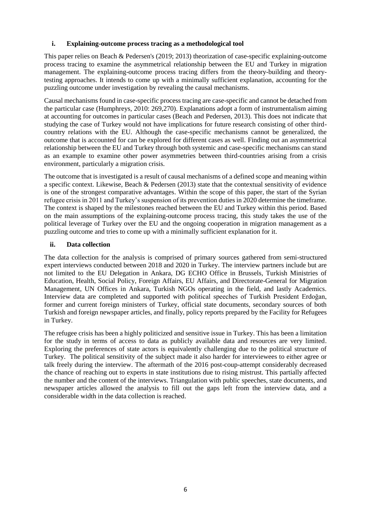#### **i. Explaining-outcome process tracing as a methodological tool**

This paper relies on Beach & Pedersen's (2019; 2013) theorization of case-specific explaining-outcome process tracing to examine the asymmetrical relationship between the EU and Turkey in migration management. The explaining-outcome process tracing differs from the theory-building and theorytesting approaches. It intends to come up with a minimally sufficient explanation, accounting for the puzzling outcome under investigation by revealing the causal mechanisms.

Causal mechanisms found in case-specific process tracing are case-specific and cannot be detached from the particular case (Humphreys, 2010: 269,270). Explanations adopt a form of instrumentalism aiming at accounting for outcomes in particular cases (Beach and Pedersen, 2013). This does not indicate that studying the case of Turkey would not have implications for future research consisting of other thirdcountry relations with the EU. Although the case-specific mechanisms cannot be generalized, the outcome that is accounted for can be explored for different cases as well. Finding out an asymmetrical relationship between the EU and Turkey through both systemic and case-specific mechanisms can stand as an example to examine other power asymmetries between third-countries arising from a crisis environment, particularly a migration crisis.

The outcome that is investigated is a result of causal mechanisms of a defined scope and meaning within a specific context. Likewise, Beach & Pedersen (2013) state that the contextual sensitivity of evidence is one of the strongest comparative advantages. Within the scope of this paper, the start of the Syrian refugee crisis in 2011 and Turkey's suspension of its prevention duties in 2020 determine the timeframe. The context is shaped by the milestones reached between the EU and Turkey within this period. Based on the main assumptions of the explaining-outcome process tracing, this study takes the use of the political leverage of Turkey over the EU and the ongoing cooperation in migration management as a puzzling outcome and tries to come up with a minimally sufficient explanation for it.

# **ii. Data collection**

The data collection for the analysis is comprised of primary sources gathered from semi-structured expert interviews conducted between 2018 and 2020 in Turkey. The interview partners include but are not limited to the EU Delegation in Ankara, DG ECHO Office in Brussels, Turkish Ministries of Education, Health, Social Policy, Foreign Affairs, EU Affairs, and Directorate-General for Migration Management, UN Offices in Ankara, Turkish NGOs operating in the field, and lastly Academics. Interview data are completed and supported with political speeches of Turkish President Erdoğan, former and current foreign ministers of Turkey, official state documents, secondary sources of both Turkish and foreign newspaper articles, and finally, policy reports prepared by the Facility for Refugees in Turkey.

The refugee crisis has been a highly politicized and sensitive issue in Turkey. This has been a limitation for the study in terms of access to data as publicly available data and resources are very limited. Exploring the preferences of state actors is equivalently challenging due to the political structure of Turkey. The political sensitivity of the subject made it also harder for interviewees to either agree or talk freely during the interview. The aftermath of the 2016 post-coup-attempt considerably decreased the chance of reaching out to experts in state institutions due to rising mistrust. This partially affected the number and the content of the interviews. Triangulation with public speeches, state documents, and newspaper articles allowed the analysis to fill out the gaps left from the interview data, and a considerable width in the data collection is reached.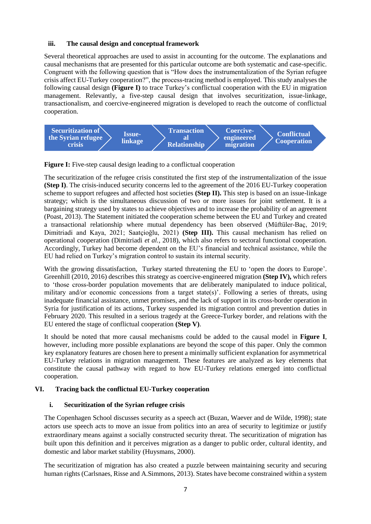#### **iii. The causal design and conceptual framework**

Several theoretical approaches are used to assist in accounting for the outcome. The explanations and causal mechanisms that are presented for this particular outcome are both systematic and case-specific. Congruent with the following question that is "How does the instrumentalization of the Syrian refugee crisis affect EU-Turkey cooperation?", the process-tracing method is employed. This study analyses the following causal design **(Figure I)** to trace Turkey's conflictual cooperation with the EU in migration management. Relevantly, a five-step causal design that involves securitization, issue-linkage, transactionalism, and coercive-engineered migration is developed to reach the outcome of conflictual cooperation.



**Figure I:** Five-step causal design leading to a conflictual cooperation

The securitization of the refugee crisis constituted the first step of the instrumentalization of the issue **(Step I)**. The crisis-induced security concerns led to the agreement of the 2016 EU-Turkey cooperation scheme to support refugees and affected host societies **(Step II).** This step is based on an issue-linkage strategy; which is the simultaneous discussion of two or more issues for joint settlement. It is a bargaining strategy used by states to achieve objectives and to increase the probability of an agreement (Poast, 2013). The Statement initiated the cooperation scheme between the EU and Turkey and created a transactional relationship where mutual dependency has been observed (Müftüler-Baç, 2019; Dimitriadi and Kaya, 2021; Saatçioğlu, 2021) **(Step III).** This causal mechanism has relied on operational cooperation (Dimitriadi *et al.*, 2018), which also refers to sectoral functional cooperation. Accordingly, Turkey had become dependent on the EU's financial and technical assistance, while the EU had relied on Turkey's migration control to sustain its internal security.

With the growing dissatisfaction, Turkey started threatening the EU to 'open the doors to Europe'. Greenhill (2010, 2016) describes this strategy as coercive-engineered migration **(Step IV),** which refers to 'those cross-border population movements that are deliberately manipulated to induce political, military and/or economic concessions from a target state(s)'. Following a series of threats, using inadequate financial assistance, unmet promises, and the lack of support in its cross-border operation in Syria for justification of its actions, Turkey suspended its migration control and prevention duties in February 2020. This resulted in a serious tragedy at the Greece-Turkey border, and relations with the EU entered the stage of conflictual cooperation **(Step V)**.

It should be noted that more causal mechanisms could be added to the causal model in **Figure I**, however, including more possible explanations are beyond the scope of this paper. Only the common key explanatory features are chosen here to present a minimally sufficient explanation for asymmetrical EU-Turkey relations in migration management. These features are analyzed as key elements that constitute the causal pathway with regard to how EU-Turkey relations emerged into conflictual cooperation.

# **VI. Tracing back the conflictual EU-Turkey cooperation**

# **i. Securitization of the Syrian refugee crisis**

The Copenhagen School discusses security as a speech act (Buzan, Waever and de Wilde, 1998); state actors use speech acts to move an issue from politics into an area of security to legitimize or justify extraordinary means against a socially constructed security threat. The securitization of migration has built upon this definition and it perceives migration as a danger to public order, cultural identity, and domestic and labor market stability (Huysmans, 2000).

The securitization of migration has also created a puzzle between maintaining security and securing human rights (Carlsnaes, Risse and A.Simmons, 2013). States have become constrained within a system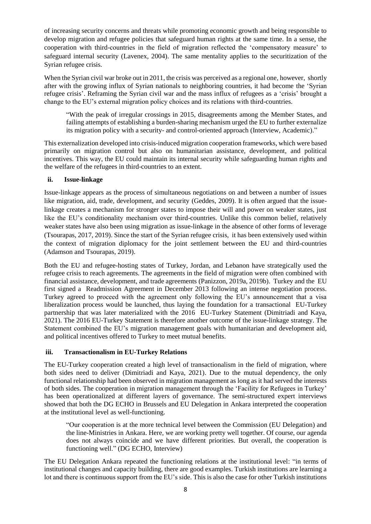of increasing security concerns and threats while promoting economic growth and being responsible to develop migration and refugee policies that safeguard human rights at the same time. In a sense, the cooperation with third-countries in the field of migration reflected the 'compensatory measure' to safeguard internal security (Lavenex, 2004). The same mentality applies to the securitization of the Syrian refugee crisis.

When the Syrian civil war broke out in 2011, the crisis was perceived as a regional one, however, shortly after with the growing influx of Syrian nationals to neighboring countries, it had become the 'Syrian refugee crisis'. Reframing the Syrian civil war and the mass influx of refugees as a 'crisis' brought a change to the EU's external migration policy choices and its relations with third-countries.

"With the peak of irregular crossings in 2015, disagreements among the Member States, and failing attempts of establishing a burden-sharing mechanism urged the EU to further externalize its migration policy with a security- and control-oriented approach (Interview, Academic)."

This externalization developed into crisis-induced migration cooperation frameworks, which were based primarily on migration control but also on humanitarian assistance, development, and political incentives. This way, the EU could maintain its internal security while safeguarding human rights and the welfare of the refugees in third-countries to an extent.

#### **ii. Issue-linkage**

Issue-linkage appears as the process of simultaneous negotiations on and between a number of issues like migration, aid, trade, development, and security (Geddes, 2009). It is often argued that the issuelinkage creates a mechanism for stronger states to impose their will and power on weaker states, just like the EU's conditionality mechanism over third-countries. Unlike this common belief, relatively weaker states have also been using migration as issue-linkage in the absence of other forms of leverage (Tsourapas, 2017, 2019). Since the start of the Syrian refugee crisis, it has been extensively used within the context of migration diplomacy for the joint settlement between the EU and third-countries (Adamson and Tsourapas, 2019).

Both the EU and refugee-hosting states of Turkey, Jordan, and Lebanon have strategically used the refugee crisis to reach agreements. The agreements in the field of migration were often combined with financial assistance, development, and trade agreements (Panizzon, 2019a, 2019b). Turkey and the EU first signed a Readmission Agreement in December 2013 following an intense negotiation process. Turkey agreed to proceed with the agreement only following the EU's announcement that a visa liberalization process would be launched, thus laying the foundation for a transactional EU-Turkey partnership that was later materialized with the 2016 EU-Turkey Statement (Dimitriadi and Kaya, 2021). The 2016 EU-Turkey Statement is therefore another outcome of the issue-linkage strategy. The Statement combined the EU's migration management goals with humanitarian and development aid, and political incentives offered to Turkey to meet mutual benefits.

# **iii. Transactionalism in EU-Turkey Relations**

The EU-Turkey cooperation created a high level of transactionalism in the field of migration, where both sides need to deliver (Dimitriadi and Kaya, 2021). Due to the mutual dependency, the only functional relationship had been observed in migration management as long as it had served the interests of both sides. The cooperation in migration management through the 'Facility for Refugees in Turkey' has been operationalized at different layers of governance. The semi-structured expert interviews showed that both the DG ECHO in Brussels and EU Delegation in Ankara interpreted the cooperation at the institutional level as well-functioning.

"Our cooperation is at the more technical level between the Commission (EU Delegation) and the line-Ministries in Ankara. Here, we are working pretty well together. Of course, our agenda does not always coincide and we have different priorities. But overall, the cooperation is functioning well." (DG ECHO, Interview)

The EU Delegation Ankara repeated the functioning relations at the institutional level: "in terms of institutional changes and capacity building, there are good examples. Turkish institutions are learning a lot and there is continuous support from the EU's side. This is also the case for other Turkish institutions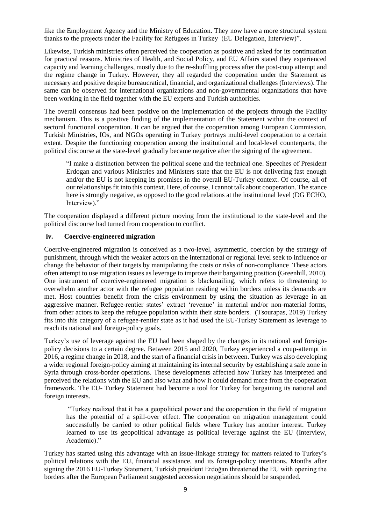like the Employment Agency and the Ministry of Education. They now have a more structural system thanks to the projects under the Facility for Refugees in Turkey (EU Delegation, Interview)".

Likewise, Turkish ministries often perceived the cooperation as positive and asked for its continuation for practical reasons. Ministries of Health, and Social Policy, and EU Affairs stated they experienced capacity and learning challenges, mostly due to the re-shuffling process after the post-coup attempt and the regime change in Turkey. However, they all regarded the cooperation under the Statement as necessary and positive despite bureaucratical, financial, and organizational challenges (Interviews). The same can be observed for international organizations and non-governmental organizations that have been working in the field together with the EU experts and Turkish authorities.

The overall consensus had been positive on the implementation of the projects through the Facility mechanism. This is a positive finding of the implementation of the Statement within the context of sectoral functional cooperation. It can be argued that the cooperation among European Commission, Turkish Ministries, IOs, and NGOs operating in Turkey portrays multi-level cooperation to a certain extent. Despite the functioning cooperation among the institutional and local-level counterparts, the political discourse at the state-level gradually became negative after the signing of the agreement.

"I make a distinction between the political scene and the technical one. Speeches of President Erdogan and various Ministries and Ministers state that the EU is not delivering fast enough and/or the EU is not keeping its promises in the overall EU-Turkey context. Of course, all of our relationships fit into this context. Here, of course, I cannot talk about cooperation. The stance here is strongly negative, as opposed to the good relations at the institutional level (DG ECHO, Interview)."

The cooperation displayed a different picture moving from the institutional to the state-level and the political discourse had turned from cooperation to conflict.

#### **iv. Coercive-engineered migration**

Coercive-engineered migration is conceived as a two-level, asymmetric, coercion by the strategy of punishment, through which the weaker actors on the international or regional level seek to influence or change the behavior of their targets by manipulating the costs or risks of non-compliance These actors often attempt to use migration issues as leverage to improve their bargaining position (Greenhill, 2010). One instrument of coercive-engineered migration is blackmailing, which refers to threatening to overwhelm another actor with the refugee population residing within borders unless its demands are met. Host countries benefit from the crisis environment by using the situation as leverage in an aggressive manner.*'*Refugee-rentier states' extract 'revenue' in material and/or non-material forms, from other actors to keep the refugee population within their state borders. (Tsourapas, 2019) Turkey fits into this category of a refugee-rentier state as it had used the EU-Turkey Statement as leverage to reach its national and foreign-policy goals.

Turkey's use of leverage against the EU had been shaped by the changes in its national and foreignpolicy decisions to a certain degree. Between 2015 and 2020, Turkey experienced a coup-attempt in 2016, a regime change in 2018, and the start of a financial crisis in between. Turkey was also developing a wider regional foreign-policy aiming at maintaining its internal security by establishing a safe zone in Syria through cross-border operations. These developments affected how Turkey has interpreted and perceived the relations with the EU and also what and how it could demand more from the cooperation framework. The EU- Turkey Statement had become a tool for Turkey for bargaining its national and foreign interests.

"Turkey realized that it has a geopolitical power and the cooperation in the field of migration has the potential of a spill-over effect. The cooperation on migration management could successfully be carried to other political fields where Turkey has another interest. Turkey learned to use its geopolitical advantage as political leverage against the EU (Interview, Academic)."

Turkey has started using this advantage with an issue-linkage strategy for matters related to Turkey's political relations with the EU, financial assistance, and its foreign-policy intentions. Months after signing the 2016 EU-Turkey Statement, Turkish president Erdoğan threatened the EU with opening the borders after the European Parliament suggested accession negotiations should be suspended.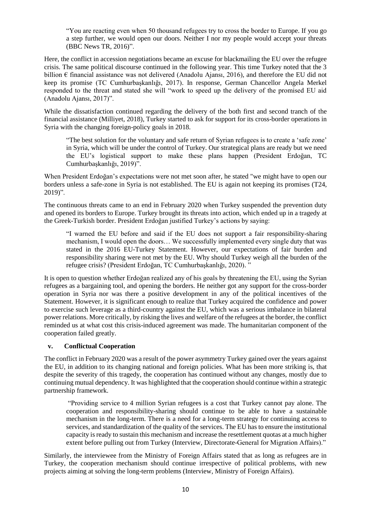"You are reacting even when 50 thousand refugees try to cross the border to Europe. If you go a step further, we would open our doors. Neither I nor my people would accept your threats (BBC News TR, 2016)".

Here, the conflict in accession negotiations became an excuse for blackmailing the EU over the refugee crisis. The same political discourse continued in the following year. This time Turkey noted that the 3 billion  $\epsilon$  financial assistance was not delivered (Anadolu Ajansi, 2016), and therefore the EU did not keep its promise (TC Cumhurbaşkanlığı, 2017). In response, German Chancellor Angela Merkel responded to the threat and stated she will "work to speed up the delivery of the promised EU aid (Anadolu Ajansı, 2017)".

While the dissatisfaction continued regarding the delivery of the both first and second tranch of the financial assistance (Milliyet, 2018), Turkey started to ask for support for its cross-border operations in Syria with the changing foreign-policy goals in 2018.

"The best solution for the voluntary and safe return of Syrian refugees is to create a 'safe zone' in Syria, which will be under the control of Turkey. Our strategical plans are ready but we need the EU's logistical support to make these plans happen (President Erdoğan, TC Cumhurbaşkanlığı, 2019)".

When President Erdoğan's expectations were not met soon after, he stated "we might have to open our borders unless a safe-zone in Syria is not established. The EU is again not keeping its promises (T24, 2019)".

The continuous threats came to an end in February 2020 when Turkey suspended the prevention duty and opened its borders to Europe. Turkey brought its threats into action, which ended up in a tragedy at the Greek-Turkish border. President Erdoğan justified Turkey's actions by saying:

"I warned the EU before and said if the EU does not support a fair responsibility-sharing mechanism, I would open the doors… We successfully implemented every single duty that was stated in the 2016 EU-Turkey Statement. However, our expectations of fair burden and responsibility sharing were not met by the EU. Why should Turkey weigh all the burden of the refugee crisis? (President Erdoğan, TC Cumhurbaşkanlığı, 2020). "

It is open to question whether Erdoğan realized any of his goals by threatening the EU, using the Syrian refugees as a bargaining tool, and opening the borders. He neither got any support for the cross-border operation in Syria nor was there a positive development in any of the political incentives of the Statement. However, it is significant enough to realize that Turkey acquired the confidence and power to exercise such leverage as a third-country against the EU, which was a serious imbalance in bilateral power relations. More critically, by risking the lives and welfare of the refugees at the border, the conflict reminded us at what cost this crisis-induced agreement was made. The humanitarian component of the cooperation failed greatly.

#### **v. Conflictual Cooperation**

The conflict in February 2020 was a result of the power asymmetry Turkey gained over the years against the EU, in addition to its changing national and foreign policies. What has been more striking is, that despite the severity of this tragedy, the cooperation has continued without any changes, mostly due to continuing mutual dependency. It was highlighted that the cooperation should continue within a strategic partnership framework.

"Providing service to 4 million Syrian refugees is a cost that Turkey cannot pay alone. The cooperation and responsibility-sharing should continue to be able to have a sustainable mechanism in the long-term. There is a need for a long-term strategy for continuing access to services, and standardization of the quality of the services. The EU has to ensure the institutional capacity is ready to sustain this mechanism and increase the resettlement quotas at a much higher extent before pulling out from Turkey (Interview, Directorate-General for Migration Affairs)."

Similarly, the interviewee from the Ministry of Foreign Affairs stated that as long as refugees are in Turkey, the cooperation mechanism should continue irrespective of political problems, with new projects aiming at solving the long-term problems (Interview, Ministry of Foreign Affairs).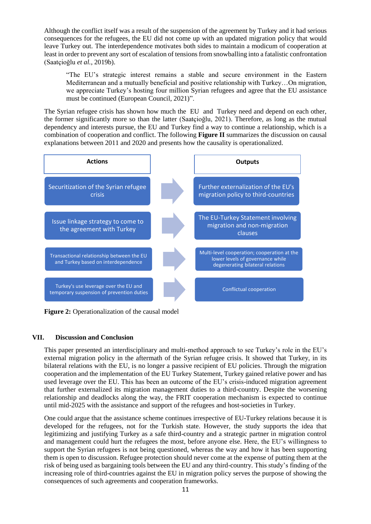Although the conflict itself was a result of the suspension of the agreement by Turkey and it had serious consequences for the refugees, the EU did not come up with an updated migration policy that would leave Turkey out. The interdependence motivates both sides to maintain a modicum of cooperation at least in order to prevent any sort of escalation of tensions from snowballing into a fatalistic confrontation (Saatçioğlu *et al.*, 2019b).

"The EU's strategic interest remains a stable and secure environment in the Eastern Mediterranean and a mutually beneficial and positive relationship with Turkey…On migration, we appreciate Turkey's hosting four million Syrian refugees and agree that the EU assistance must be continued (European Council, 2021)".

The Syrian refugee crisis has shown how much the EU and Turkey need and depend on each other, the former significantly more so than the latter (Saatçioğlu, 2021). Therefore, as long as the mutual dependency and interests pursue, the EU and Turkey find a way to continue a relationship, which is a combination of cooperation and conflict. The following **Figure II** summarizes the discussion on causal explanations between 2011 and 2020 and presents how the causality is operationalized.



**Figure 2:** Operationalization of the causal model

# **VII. Discussion and Conclusion**

This paper presented an interdisciplinary and multi-method approach to see Turkey's role in the EU's external migration policy in the aftermath of the Syrian refugee crisis. It showed that Turkey, in its bilateral relations with the EU, is no longer a passive recipient of EU policies. Through the migration cooperation and the implementation of the EU Turkey Statement, Turkey gained relative power and has used leverage over the EU. This has been an outcome of the EU's crisis-induced migration agreement that further externalized its migration management duties to a third-country. Despite the worsening relationship and deadlocks along the way, the FRIT cooperation mechanism is expected to continue until mid-2025 with the assistance and support of the refugees and host-societies in Turkey.

One could argue that the assistance scheme continues irrespective of EU-Turkey relations because it is developed for the refugees, not for the Turkish state. However, the study supports the idea that legitimizing and justifying Turkey as a safe third-country and a strategic partner in migration control and management could hurt the refugees the most, before anyone else. Here, the EU's willingness to support the Syrian refugees is not being questioned, whereas the way and how it has been supporting them is open to discussion. Refugee protection should never come at the expense of putting them at the risk of being used as bargaining tools between the EU and any third-country. This study's finding of the increasing role of third-countries against the EU in migration policy serves the purpose of showing the consequences of such agreements and cooperation frameworks.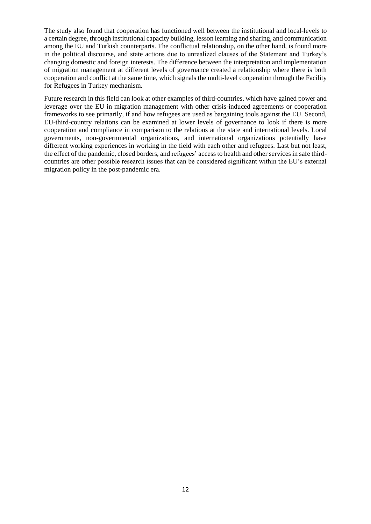The study also found that cooperation has functioned well between the institutional and local-levels to a certain degree, through institutional capacity building, lesson learning and sharing, and communication among the EU and Turkish counterparts. The conflictual relationship, on the other hand, is found more in the political discourse, and state actions due to unrealized clauses of the Statement and Turkey's changing domestic and foreign interests. The difference between the interpretation and implementation of migration management at different levels of governance created a relationship where there is both cooperation and conflict at the same time, which signals the multi-level cooperation through the Facility for Refugees in Turkey mechanism.

Future research in this field can look at other examples of third-countries, which have gained power and leverage over the EU in migration management with other crisis-induced agreements or cooperation frameworks to see primarily, if and how refugees are used as bargaining tools against the EU. Second, EU-third-country relations can be examined at lower levels of governance to look if there is more cooperation and compliance in comparison to the relations at the state and international levels. Local governments, non-governmental organizations, and international organizations potentially have different working experiences in working in the field with each other and refugees. Last but not least, the effect of the pandemic, closed borders, and refugees' access to health and other services in safe thirdcountries are other possible research issues that can be considered significant within the EU's external migration policy in the post-pandemic era.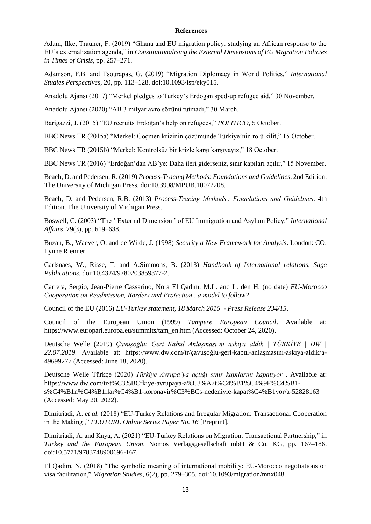#### **References**

Adam, Ilke; Trauner, F. (2019) "Ghana and EU migration policy: studying an African response to the EU's externalization agenda," in *Constitutionalising the External Dimensions of EU Migration Policies in Times of Crisis*, pp. 257–271.

Adamson, F.B. and Tsourapas, G. (2019) "Migration Diplomacy in World Politics," *International Studies Perspectives*, 20, pp. 113–128. doi:10.1093/isp/eky015.

Anadolu Ajansı (2017) "Merkel pledges to Turkey's Erdogan sped-up refugee aid," 30 November.

Anadolu Ajansı (2020) "AB 3 milyar avro sözünü tutmadı," 30 March.

Barigazzi, J. (2015) "EU recruits Erdoğan's help on refugees," *POLITICO*, 5 October.

BBC News TR (2015a) "Merkel: Göçmen krizinin çözümünde Türkiye'nin rolü kilit," 15 October.

BBC News TR (2015b) "Merkel: Kontrolsüz bir krizle karşı karşıyayız," 18 October.

BBC News TR (2016) "Erdoğan'dan AB'ye: Daha ileri giderseniz, sınır kapıları açılır," 15 November.

Beach, D. and Pedersen, R. (2019) *Process-Tracing Methods: Foundations and Guidelines*. 2nd Edition. The University of Michigan Press. doi:10.3998/MPUB.10072208.

Beach, D. and Pedersen, R.B. (2013) *Process-Tracing Methods : Foundations and Guidelines*. 4th Edition. The University of Michigan Press.

Boswell, C. (2003) "The ' External Dimension ' of EU Immigration and Asylum Policy," *International Affairs*, 79(3), pp. 619–638.

Buzan, B., Waever, O. and de Wilde, J. (1998) *Security a New Framework for Analysis*. London: CO: Lynne Rienner.

Carlsnaes, W., Risse, T. and A.Simmons, B. (2013) *Handbook of International relations*, *Sage Publications*. doi:10.4324/9780203859377-2.

Carrera, Sergio, Jean-Pierre Cassarino, Nora El Qadim, M.L. and L. den H. (no date) *EU-Morocco Cooperation on Readmission, Borders and Protection : a model to follow?*

Council of the EU (2016) *EU-Turkey statement, 18 March 2016 - Press Release 234/15*.

Council of the European Union (1999) *Tampere European Council*. Available at: https://www.europarl.europa.eu/summits/tam\_en.htm (Accessed: October 24, 2020).

Deutsche Welle (2019) *Çavuşoğlu: Geri Kabul Anlaşması'nı askıya aldık | TÜRKİYE | DW | 22.07.2019*. Available at: https://www.dw.com/tr/çavuşoğlu-geri-kabul-anlaşmasını-askıya-aldık/a-49699277 (Accessed: June 18, 2020).

Deutsche Welle Türkçe (2020) *Türkiye Avrupa'ya açtığı sınır kapılarını kapatıyor* . Available at: https://www.dw.com/tr/t%C3%BCrkiye-avrupaya-a%C3%A7t%C4%B1%C4%9F%C4%B1 s%C4%B1n%C4%B1rlar%C4%B1-koronavir%C3%BCs-nedeniyle-kapat%C4%B1yor/a-52828163 (Accessed: May 20, 2022).

Dimitriadi, A. *et al.* (2018) "EU-Turkey Relations and Irregular Migration: Transactional Cooperation in the Making ," *FEUTURE Online Series Paper No. 16* [Preprint].

Dimitriadi, A. and Kaya, A. (2021) "EU-Turkey Relations on Migration: Transactional Partnership," in *Turkey and the European Union*. Nomos Verlagsgesellschaft mbH & Co. KG, pp. 167–186. doi:10.5771/9783748900696-167.

El Qadim, N. (2018) "The symbolic meaning of international mobility: EU-Morocco negotiations on visa facilitation," *Migration Studies*, 6(2), pp. 279–305. doi:10.1093/migration/mnx048.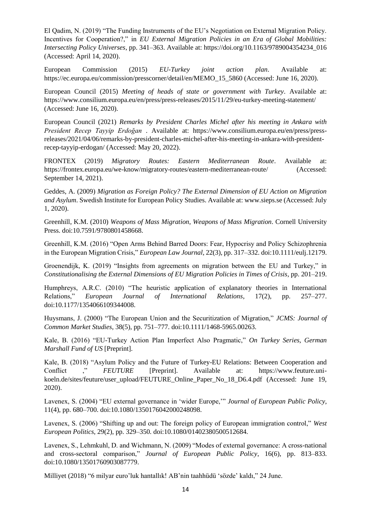El Qadim, N. (2019) "The Funding Instruments of the EU's Negotiation on External Migration Policy. Incentives for Cooperation?," in *EU External Migration Policies in an Era of Global Mobilities: Intersecting Policy Universes*, pp. 341–363. Available at: https://doi.org/10.1163/9789004354234\_016 (Accessed: April 14, 2020).

European Commission (2015) *EU-Turkey joint action plan*. Available at: https://ec.europa.eu/commission/presscorner/detail/en/MEMO\_15\_5860 (Accessed: June 16, 2020).

European Council (2015) *Meeting of heads of state or government with Turkey*. Available at: https://www.consilium.europa.eu/en/press/press-releases/2015/11/29/eu-turkey-meeting-statement/ (Accessed: June 16, 2020).

European Council (2021) *Remarks by President Charles Michel after his meeting in Ankara with President Recep Tayyip Erdoğan* . Available at: https://www.consilium.europa.eu/en/press/pressreleases/2021/04/06/remarks-by-president-charles-michel-after-his-meeting-in-ankara-with-presidentrecep-tayyip-erdogan/ (Accessed: May 20, 2022).

FRONTEX (2019) *Migratory Routes: Eastern Mediterranean Route*. Available at: https://frontex.europa.eu/we-know/migratory-routes/eastern-mediterranean-route/ (Accessed: September 14, 2021).

Geddes, A. (2009) *Migration as Foreign Policy? The External Dimension of EU Action on Migration and Asylum*. Swedish Institute for European Policy Studies. Available at: www.sieps.se (Accessed: July 1, 2020).

Greenhill, K.M. (2010) *Weapons of Mass Migration*, *Weapons of Mass Migration*. Cornell University Press. doi:10.7591/9780801458668.

Greenhill, K.M. (2016) "Open Arms Behind Barred Doors: Fear, Hypocrisy and Policy Schizophrenia in the European Migration Crisis," *European Law Journal*, 22(3), pp. 317–332. doi:10.1111/eulj.12179.

Groenendijk, K. (2019) "Insights from agreements on migration between the EU and Turkey," in *Constitutionalising the External Dimensions of EU Migration Policies in Times of Crisis*, pp. 201–219.

Humphreys, A.R.C. (2010) "The heuristic application of explanatory theories in International Relations," *European Journal of International Relations*, 17(2), pp. 257–277. doi:10.1177/1354066109344008.

Huysmans, J. (2000) "The European Union and the Securitization of Migration," *JCMS: Journal of Common Market Studies*, 38(5), pp. 751–777. doi:10.1111/1468-5965.00263.

Kale, B. (2016) "EU-Turkey Action Plan Imperfect Also Pragmatic," *On Turkey Series, German Marshall Fund of US* [Preprint].

Kale, B. (2018) "Asylum Policy and the Future of Turkey-EU Relations: Between Cooperation and Conflict ," *FEUTURE* [Preprint]. Available at: https://www.feuture.unikoeln.de/sites/feuture/user\_upload/FEUTURE\_Online\_Paper\_No\_18\_D6.4.pdf (Accessed: June 19, 2020).

Lavenex, S. (2004) "EU external governance in 'wider Europe,'" *Journal of European Public Policy*, 11(4), pp. 680–700. doi:10.1080/1350176042000248098.

Lavenex, S. (2006) "Shifting up and out: The foreign policy of European immigration control," *West European Politics*, 29(2), pp. 329–350. doi:10.1080/01402380500512684.

Lavenex, S., Lehmkuhl, D. and Wichmann, N. (2009) "Modes of external governance: A cross-national and cross-sectoral comparison," *Journal of European Public Policy*, 16(6), pp. 813–833. doi:10.1080/13501760903087779.

Milliyet (2018) "6 milyar euro'luk hantallık! AB'nin taahhüdü 'sözde' kaldı," 24 June.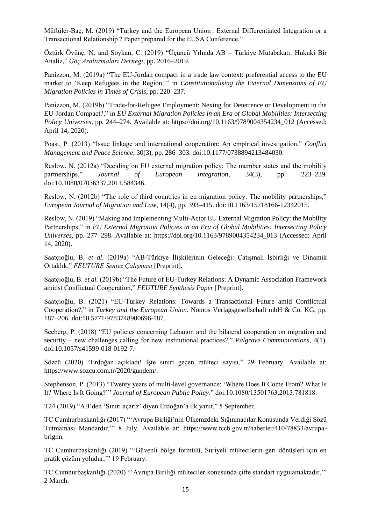Müftüler-Baç, M. (2019) "Turkey and the European Union : External Differentiated Integration or a Transactional Relationship ? Paper prepared for the EUSA Conference."

Öztürk Övünç, N. and Soykan, C. (2019) "Üçüncü Yılında AB – Türkiye Mutabakatı: Hukuki Bir Analiz," *Göç Araltırmaları Derneği*, pp. 2016–2019.

Panizzon, M. (2019a) "The EU-Jordan compact in a trade law context: preferential access to the EU market to 'Keep Refugees in the Region,'" in *Constitutionalising the External Dimensions of EU Migration Policies in Times of Crisis*, pp. 220–237.

Panizzon, M. (2019b) "Trade-for-Refugee Employment: Nexing for Deterrence or Development in the EU-Jordan Compact?," in *EU External Migration Policies in an Era of Global Mobilities: Intersecting Policy Universes*, pp. 244–274. Available at: https://doi.org/10.1163/9789004354234\_012 (Accessed: April 14, 2020).

Poast, P. (2013) "Issue linkage and international cooperation: An empirical investigation," *Conflict Management and Peace Science*, 30(3), pp. 286–303. doi:10.1177/0738894213484030.

Reslow, N. (2012a) "Deciding on EU external migration policy: The member states and the mobility partnerships," *Journal of European Integration*, 34(3), pp. 223–239. doi:10.1080/07036337.2011.584346.

Reslow, N. (2012b) "The role of third countries in eu migration policy: The mobility partnerships," *European Journal of Migration and Law*, 14(4), pp. 393–415. doi:10.1163/15718166-12342015.

Reslow, N. (2019) "Making and Implementing Multi-Actor EU External Migration Policy: the Mobility Partnerships," in *EU External Migration Policies in an Era of Global Mobilities: Intersecting Policy Universes*, pp. 277–298. Available at: https://doi.org/10.1163/9789004354234\_013 (Accessed: April 14, 2020).

Saatçioğlu, B. *et al.* (2019a) "AB-Türkiye İlişkilerinin Geleceği: Çatışmalı İşbirliği ve Dinamik Ortaklık," *FEUTURE Sentez Çalışması* [Preprint].

Saatçioğlu, B. *et al.* (2019b) "The Future of EU-Turkey Relations: A Dynamic Association Framework amidst Conflictual Cooperation," *FEUTURE Synthesis Paper* [Preprint].

Saatçioğlu, B. (2021) "EU-Turkey Relations: Towards a Transactional Future amid Conflictual Cooperation?," in *Turkey and the European Union*. Nomos Verlagsgesellschaft mbH & Co. KG, pp. 187–206. doi:10.5771/9783748900696-187.

Seeberg, P. (2018) "EU policies concerning Lebanon and the bilateral cooperation on migration and security – new challenges calling for new institutional practices?," *Palgrave Communications*, 4(1). doi:10.1057/s41599-018-0192-7.

Sözcü (2020) "Erdoğan açıkladı! İşte sınırı geçen mülteci sayısı," 29 February. Available at: https://www.sozcu.com.tr/2020/gundem/.

Stephenson, P. (2013) "Twenty years of multi-level governance: 'Where Does It Come From? What Is It? Where Is It Going?'" *Journal of European Public Policy*." doi:10.1080/13501763.2013.781818.

T24 (2019) "AB'den 'Sınırı açarız' diyen Erdoğan'a ilk yanıt," 5 September.

TC Cumhurbaşkanlığı (2017) "'Avrupa Birliği'nin Ülkemzdeki Sığınmacılar Konusunda Verdiği Sözü Tutmaması Mandardır,'" 8 July. Available at: https://www.tccb.gov.tr/haberler/410/78833/avrupabrlgnn.

TC Cumhurbaşkanlığı (2019) "'Güvenli bölge formülü, Suriyeli mültecilerin geri dönüşleri için en pratik çözüm yoludur,'" 19 February.

TC Cumhurbaşkanlığı (2020) "'Avrupa Biriliği mülteciler konusunda çifte standart uygulamaktadır,'" 2 March.